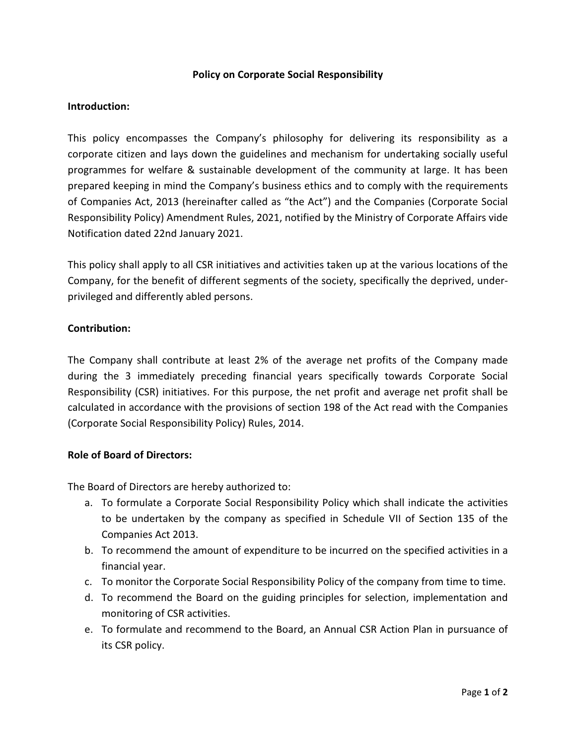## Policy on Corporate Social Responsibility

## Introduction:

This policy encompasses the Company's philosophy for delivering its responsibility as a corporate citizen and lays down the guidelines and mechanism for undertaking socially useful programmes for welfare & sustainable development of the community at large. It has been prepared keeping in mind the Company's business ethics and to comply with the requirements of Companies Act, 2013 (hereinafter called as "the Act") and the Companies (Corporate Social Responsibility Policy) Amendment Rules, 2021, notified by the Ministry of Corporate Affairs vide Notification dated 22nd January 2021.

This policy shall apply to all CSR initiatives and activities taken up at the various locations of the Company, for the benefit of different segments of the society, specifically the deprived, underprivileged and differently abled persons.

### Contribution:

The Company shall contribute at least 2% of the average net profits of the Company made during the 3 immediately preceding financial years specifically towards Corporate Social Responsibility (CSR) initiatives. For this purpose, the net profit and average net profit shall be calculated in accordance with the provisions of section 198 of the Act read with the Companies (Corporate Social Responsibility Policy) Rules, 2014.

#### Role of Board of Directors:

The Board of Directors are hereby authorized to:

- a. To formulate a Corporate Social Responsibility Policy which shall indicate the activities to be undertaken by the company as specified in Schedule VII of Section 135 of the Companies Act 2013.
- b. To recommend the amount of expenditure to be incurred on the specified activities in a financial year.
- c. To monitor the Corporate Social Responsibility Policy of the company from time to time.
- d. To recommend the Board on the guiding principles for selection, implementation and monitoring of CSR activities.
- e. To formulate and recommend to the Board, an Annual CSR Action Plan in pursuance of its CSR policy.